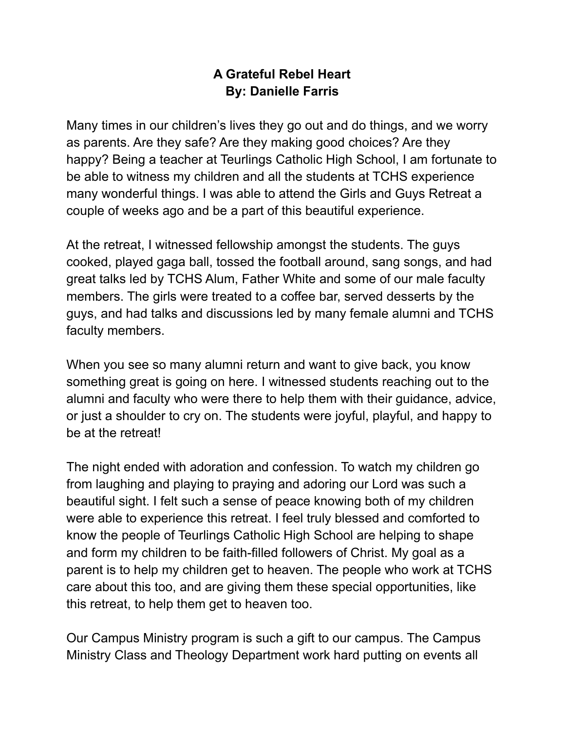## **A Grateful Rebel Heart By: Danielle Farris**

Many times in our children's lives they go out and do things, and we worry as parents. Are they safe? Are they making good choices? Are they happy? Being a teacher at Teurlings Catholic High School, I am fortunate to be able to witness my children and all the students at TCHS experience many wonderful things. I was able to attend the Girls and Guys Retreat a couple of weeks ago and be a part of this beautiful experience.

At the retreat, I witnessed fellowship amongst the students. The guys cooked, played gaga ball, tossed the football around, sang songs, and had great talks led by TCHS Alum, Father White and some of our male faculty members. The girls were treated to a coffee bar, served desserts by the guys, and had talks and discussions led by many female alumni and TCHS faculty members.

When you see so many alumni return and want to give back, you know something great is going on here. I witnessed students reaching out to the alumni and faculty who were there to help them with their guidance, advice, or just a shoulder to cry on. The students were joyful, playful, and happy to be at the retreat!

The night ended with adoration and confession. To watch my children go from laughing and playing to praying and adoring our Lord was such a beautiful sight. I felt such a sense of peace knowing both of my children were able to experience this retreat. I feel truly blessed and comforted to know the people of Teurlings Catholic High School are helping to shape and form my children to be faith-filled followers of Christ. My goal as a parent is to help my children get to heaven. The people who work at TCHS care about this too, and are giving them these special opportunities, like this retreat, to help them get to heaven too.

Our Campus Ministry program is such a gift to our campus. The Campus Ministry Class and Theology Department work hard putting on events all